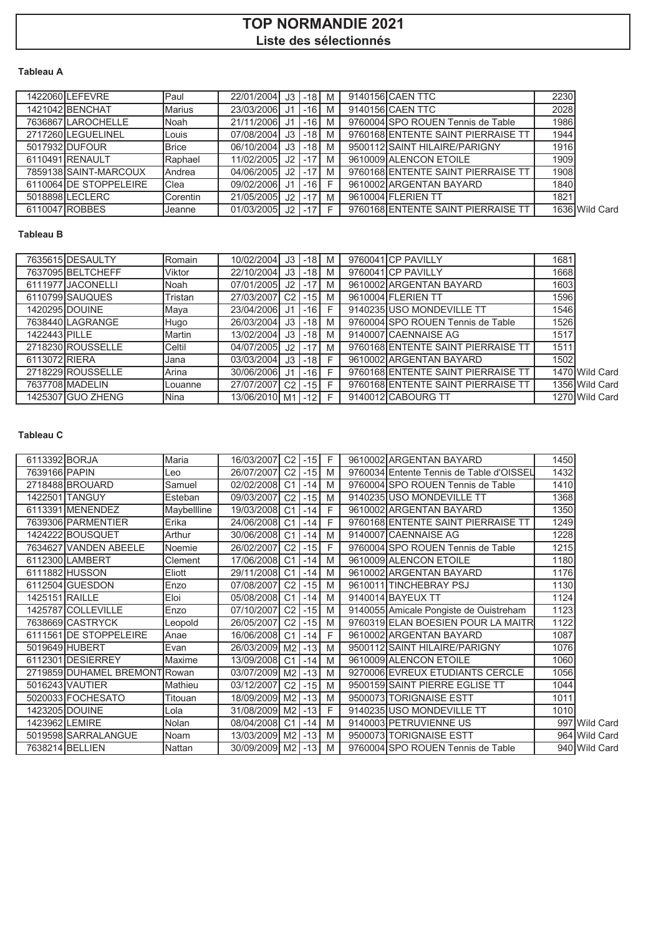# **TOP NORMANDIE 2021 Liste des sélectionnés**

# **Tableau A**

| 1422060 LEFEVRE        | Paul         | 22/01/2004 J3 -18 M |     |            | 9140156 CAEN TTC                   | 2230 |                |
|------------------------|--------------|---------------------|-----|------------|------------------------------------|------|----------------|
| 1421042 BENCHAT        | Marius       | 23/03/2006          | .11 | $-16$ M    | 9140156 CAEN TTC                   | 2028 |                |
| 7636867LAROCHELLE      | Noah         | 21/11/2006          | .11 | $-16$ M    | 9760004 SPO ROUEN Tennis de Table  | 1986 |                |
| 2717260LEGUELINEL      | Louis        | 07/08/2004          |     | $J3$ -18 M | 9760168 ENTENTE SAINT PIERRAISE TT | 1944 |                |
| 5017932 DUFOUR         | <b>Brice</b> | 06/10/2004 J3 -18 M |     |            | 9500112 SAINT HILAIRE/PARIGNY      | 1916 |                |
| 6110491 RENAULT        | Raphael      | 11/02/2005          |     | $J2$ -17 M | 9610009 ALENCON ETOILE             | 1909 |                |
| 7859138 SAINT-MARCOUX  | Andrea       | 04/06/2005          |     | $J2$ -17 M | 9760168 ENTENTE SAINT PIERRAISE TT | 1908 |                |
| 6110064 DE STOPPELEIRE | Clea         | 09/02/2006          | .11 | $-16$ F    | 9610002 ARGENTAN BAYARD            | 1840 |                |
| 5018898LECLERC         | Corentin     | 21/05/2005          |     | $J2$ -17 M | 9610004 FLERIEN TT                 | 1821 |                |
| 6110047 ROBBES         | Jeanne       | 01/03/2005          |     | J2 -17 F   | 9760168 ENTENTE SAINT PIERRAISE TT |      | 1636 Wild Card |

#### **Tableau B**

|               | 7635615 DESAULTY  | Romain  | 10/02/2004 J3 |                | $-18$ M |   | 9760041 CP PAVILLY                 | 1681 |                |
|---------------|-------------------|---------|---------------|----------------|---------|---|------------------------------------|------|----------------|
|               | 7637095 BELTCHEFF | Viktor  | 22/10/2004    | J3             | $-18$ M |   | 9760041 CP PAVILLY                 | 1668 |                |
|               | 6111977 JACONELLI | Noah    | 07/01/2005    | J2             | $-171$  | M | 9610002 ARGENTAN BAYARD            | 1603 |                |
|               | 6110799 SAUQUES   | Tristan | 27/03/2007    | C <sub>2</sub> | $-15$   | M | 9610004 FLERIEN TT                 | 1596 |                |
|               | 1420295 DOUINE    | Maya    | 23/04/2006    |                | $-16$   | E | 9140235 USO MONDEVILLE TT          | 1546 |                |
|               | 7638440LAGRANGE   | Hugo    | 26/03/2004 J3 |                | $-18$   | M | 9760004 SPO ROUEN Tennis de Table  | 1526 |                |
| 1422443 PILLE |                   | Martin  | 13/02/2004 J3 |                | $-18$ M |   | 9140007 CAENNAISE AG               | 1517 |                |
|               | 2718230 ROUSSELLE | Celtil  | 04/07/2005    | J2             | $-17$   | M | 9760168 ENTENTE SAINT PIERRAISE TT | 1511 |                |
| 6113072 RIERA |                   | Jana    | 03/03/2004 J3 |                | $-18$ F |   | 9610002 ARGENTAN BAYARD            | 1502 |                |
|               | 2718229 ROUSSELLE | Arina   | 30/06/2006 J1 |                | $-16$   | E | 9760168 ENTENTE SAINT PIERRAISE TT |      | 1470 Wild Card |
|               | 7637708 MADELIN   | Louanne | 27/07/2007    | C <sub>2</sub> | $-15$   | E | 9760168 ENTENTE SAINT PIERRAISE TT |      | 1356 Wild Card |
|               | 1425307 GUO ZHENG | Nina    | 13/06/2010 M1 |                | $-121$  | E | 9140012 CABOURG TT                 |      | 1270 Wild Card |

### **Tableau C**

| 6113392 BORJA  |                               | Maria        | 16/03/2007        | C <sub>2</sub> | $-15$ | F | 9610002 ARGENTAN BAYARD                  | 1450 |               |
|----------------|-------------------------------|--------------|-------------------|----------------|-------|---|------------------------------------------|------|---------------|
| 7639166 PAPIN  |                               | Leo          | 26/07/2007        | C <sub>2</sub> | $-15$ | M | 9760034 Entente Tennis de Table d'OISSEL | 1432 |               |
|                | 2718488 BROUARD               | Samuel       | 02/02/2008        | C <sub>1</sub> | $-14$ | M | 9760004 SPO ROUEN Tennis de Table        | 1410 |               |
|                | 1422501 TANGUY                | Esteban      | 09/03/2007        | C <sub>2</sub> | $-15$ | M | 9140235 USO MONDEVILLE TT                | 1368 |               |
|                | 6113391 MENENDEZ              | Maybellline  | 19/03/2008        | C <sub>1</sub> | $-14$ | F | 9610002 ARGENTAN BAYARD                  | 1350 |               |
|                | 7639306 PARMENTIER            | Erika        | 24/06/2008        | C <sub>1</sub> | $-14$ | F | 9760168 ENTENTE SAINT PIERRAISE TT       | 1249 |               |
|                | 1424222 BOUSQUET              | Arthur       | 30/06/2008        | C <sub>1</sub> | -14   | M | 9140007 CAENNAISE AG                     | 1228 |               |
|                | 7634627 VANDEN ABEELE         | Noemie       | 26/02/2007        | C <sub>2</sub> | $-15$ | F | 9760004 SPO ROUEN Tennis de Table        | 1215 |               |
|                | 6112300 LAMBERT               | Clement      | 17/06/2008        | C <sub>1</sub> | $-14$ | M | 9610009 ALENCON ETOILE                   | 1180 |               |
|                | 6111882 HUSSON                | Eliott       | 29/11/2008        | C <sub>1</sub> | $-14$ | M | 9610002 ARGENTAN BAYARD                  | 1176 |               |
|                | 6112504 GUESDON               | Enzo         | 07/08/2007        | C <sub>2</sub> | $-15$ | M | 9610011 TINCHEBRAY PSJ                   | 1130 |               |
| 1425151 RAILLE |                               | Eloi         | 05/08/2008        | C <sub>1</sub> | $-14$ | M | 9140014 BAYEUX TT                        | 1124 |               |
|                | 1425787 COLLEVILLE            | Enzo         | 07/10/2007        | C <sub>2</sub> | $-15$ | M | 9140055 Amicale Pongiste de Ouistreham   | 1123 |               |
|                | 7638669 CASTRYCK              | Leopold      | 26/05/2007        | C <sub>2</sub> | $-15$ | M | 9760319 ELAN BOESIEN POUR LA MAITR       | 1122 |               |
|                | 6111561 DE STOPPELEIRE        | Anae         | 16/06/2008        | C <sub>1</sub> | $-14$ | F | 9610002 ARGENTAN BAYARD                  | 1087 |               |
|                | 5019649 HUBERT                | Evan         | 26/03/2009 M2     |                | $-13$ | M | 9500112 SAINT HILAIRE/PARIGNY            | 1076 |               |
|                | 6112301 DESIERREY             | Maxime       | 13/09/2008 C1     |                | $-14$ | M | 9610009 ALENCON ETOILE                   | 1060 |               |
|                | 2719859 DUHAMEL BREMONT Rowan |              | 03/07/2009 M2     |                | $-13$ | M | 9270006 EVREUX ETUDIANTS CERCLE          | 1056 |               |
|                | 5016243 VAUTIER               | Mathieu      | 03/12/2007        | C <sub>2</sub> | $-15$ | M | 9500159 SAINT PIERRE EGLISE TT           | 1044 |               |
|                | 5020033 FOCHESATO             | Titouan      | 18/09/2009 M2     |                | $-13$ | M | 9500073 TORIGNAISE ESTT                  | 1011 |               |
|                | 1423205 DOUINE                | Lola         | 31/08/2009 M2     |                | $-13$ | F | 9140235 USO MONDEVILLE TT                | 1010 |               |
|                | 1423962 LEMIRE                | <b>Nolan</b> | 08/04/2008        | C <sub>1</sub> | $-14$ | M | 9140003 PETRUVIENNE US                   |      | 997 Wild Card |
|                | 5019598 SARRALANGUE           | Noam         | 13/03/2009 M2     |                | $-13$ | M | 9500073 TORIGNAISE ESTT                  |      | 964 Wild Card |
|                | 7638214 BELLIEN               | Nattan       | 30/09/2009 M2 -13 |                |       | M | 9760004 SPO ROUEN Tennis de Table        |      | 940 Wild Card |